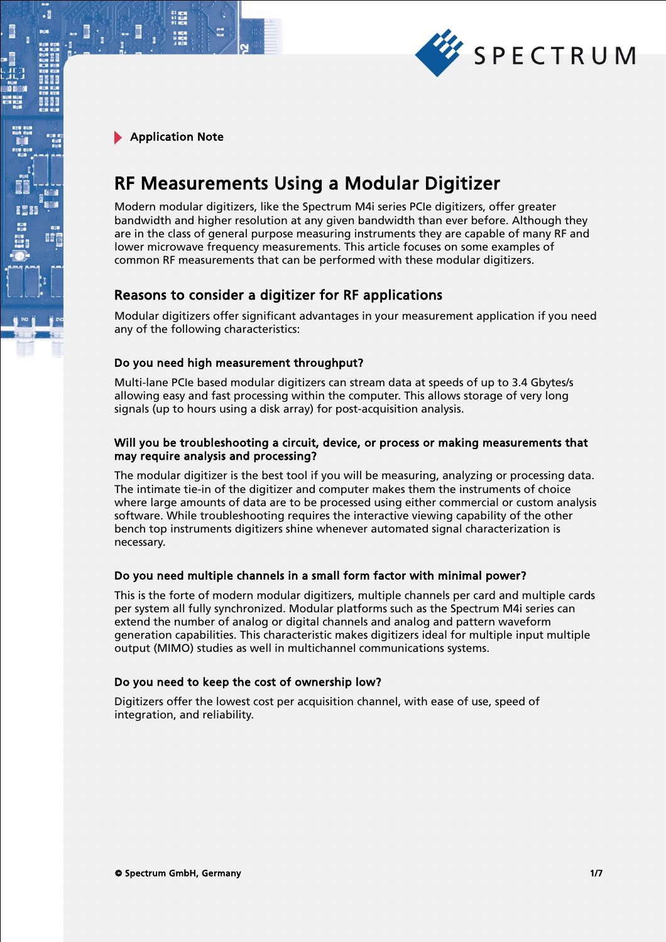

.

# RF Measurements Using a Modular Digitizer

Modern modular digitizers, like the Spectrum M4i series PCIe digitizers, offer greater bandwidth and higher resolution at any given bandwidth than ever before. Although they are in the class of general purpose measuring instruments they are capable of many RF and lower microwave frequency measurements. This article focuses on some examples of common RF measurements that can be performed with these modular digitizers.

# Reasons to consider a digitizer for RF applications

Modular digitizers offer significant advantages in your measurement application if you need any of the following characteristics:

# Do you need high measurement throughput?

Multi-lane PCIe based modular digitizers can stream data at speeds of up to 3.4 Gbytes/s allowing easy and fast processing within the computer. This allows storage of very long signals (up to hours using a disk array) for post-acquisition analysis.

## Will you be troubleshooting a circuit, device, or process or making measurements that may require analysis and processing?

The modular digitizer is the best tool if you will be measuring, analyzing or processing data. The intimate tie-in of the digitizer and computer makes them the instruments of choice where large amounts of data are to be processed using either commercial or custom analysis software. While troubleshooting requires the interactive viewing capability of the other bench top instruments digitizers shine whenever automated signal characterization is necessary.

# Do you need multiple channels in a small form factor with minimal power?

This is the forte of modern modular digitizers, multiple channels per card and multiple cards per system all fully synchronized. Modular platforms such as the Spectrum M4i series can extend the number of analog or digital channels and analog and pattern waveform generation capabilities. This characteristic makes digitizers ideal for multiple input multiple output (MIMO) studies as well in multichannel communications systems.

## Do you need to keep the cost of ownership low?

Digitizers offer the lowest cost per acquisition channel, with ease of use, speed of integration, and reliability.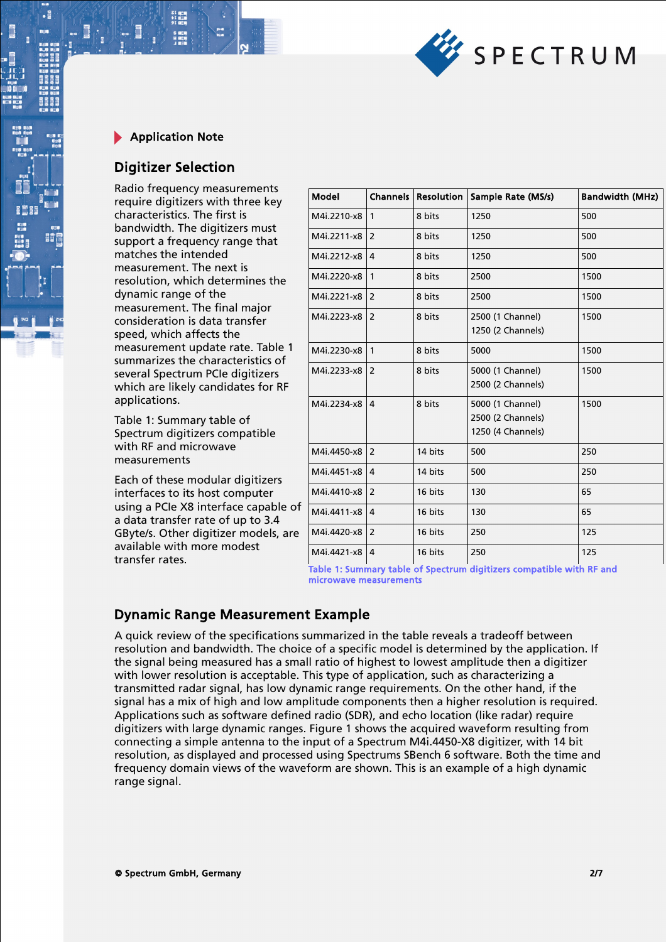

.

# Digitizer Selection

Radio frequency measurements require digitizers with three key characteristics. The first is bandwidth. The digitizers must support a frequency range that matches the intended measurement. The next is resolution, which determines the dynamic range of the measurement. The final major consideration is data transfer speed, which affects the measurement update rate. Table 1 summarizes the characteristics of several Spectrum PCIe digitizers which are likely candidates for RF applications.

Table 1: Summary table of Spectrum digitizers compatible with RF and microwave measurements

Each of these modular digitizers interfaces to its host computer using a PCIe X8 interface capable of a data transfer rate of up to 3.4 GByte/s. Other digitizer models, are available with more modest transfer rates.

| Model       | <b>Channels</b> | <b>Resolution</b> | Sample Rate (MS/s)                                         | <b>Bandwidth (MHz)</b> |
|-------------|-----------------|-------------------|------------------------------------------------------------|------------------------|
| M4i.2210-x8 | $\mathbf{1}$    | 8 bits            | 1250                                                       | 500                    |
| M4i.2211-x8 | $\overline{2}$  | 8 bits            | 1250                                                       | 500                    |
| M4i.2212-x8 | $\overline{4}$  | 8 bits            | 1250                                                       | 500                    |
| M4i.2220-x8 | $\mathbf{1}$    | 8 bits            | 2500                                                       | 1500                   |
| M4i.2221-x8 | $\overline{2}$  | 8 bits            | 2500                                                       | 1500                   |
| M4i.2223-x8 | 2               | 8 bits            | 2500 (1 Channel)<br>1250 (2 Channels)                      | 1500                   |
| M4i.2230-x8 | $\mathbf{1}$    | 8 bits            | 5000                                                       | 1500                   |
| M4i.2233-x8 | $\overline{2}$  | 8 bits            | 5000 (1 Channel)<br>2500 (2 Channels)                      | 1500                   |
| M4i.2234-x8 | 4               | 8 bits            | 5000 (1 Channel)<br>2500 (2 Channels)<br>1250 (4 Channels) | 1500                   |
| M4i.4450-x8 | 2               | 14 bits           | 500                                                        | 250                    |
| M4i.4451-x8 | 4               | 14 bits           | 500                                                        | 250                    |
| M4i.4410-x8 | 2               | 16 bits           | 130                                                        | 65                     |
| M4i.4411-x8 | 4               | 16 bits           | 130                                                        | 65                     |
| M4i.4420-x8 | $\overline{2}$  | 16 bits           | 250                                                        | 125                    |
| M4i.4421-x8 | $\overline{4}$  | 16 bits           | 250                                                        | 125                    |

Table 1: Summary table of Spectrum digitizers compatible with RF and microwave measurements

# Dynamic Range Measurement Example

A quick review of the specifications summarized in the table reveals a tradeoff between resolution and bandwidth. The choice of a specific model is determined by the application. If the signal being measured has a small ratio of highest to lowest amplitude then a digitizer with lower resolution is acceptable. This type of application, such as characterizing a transmitted radar signal, has low dynamic range requirements. On the other hand, if the signal has a mix of high and low amplitude components then a higher resolution is required. Applications such as software defined radio (SDR), and echo location (like radar) require digitizers with large dynamic ranges. Figure 1 shows the acquired waveform resulting from connecting a simple antenna to the input of a Spectrum M4i.4450-X8 digitizer, with 14 bit resolution, as displayed and processed using Spectrums SBench 6 software. Both the time and frequency domain views of the waveform are shown. This is an example of a high dynamic range signal.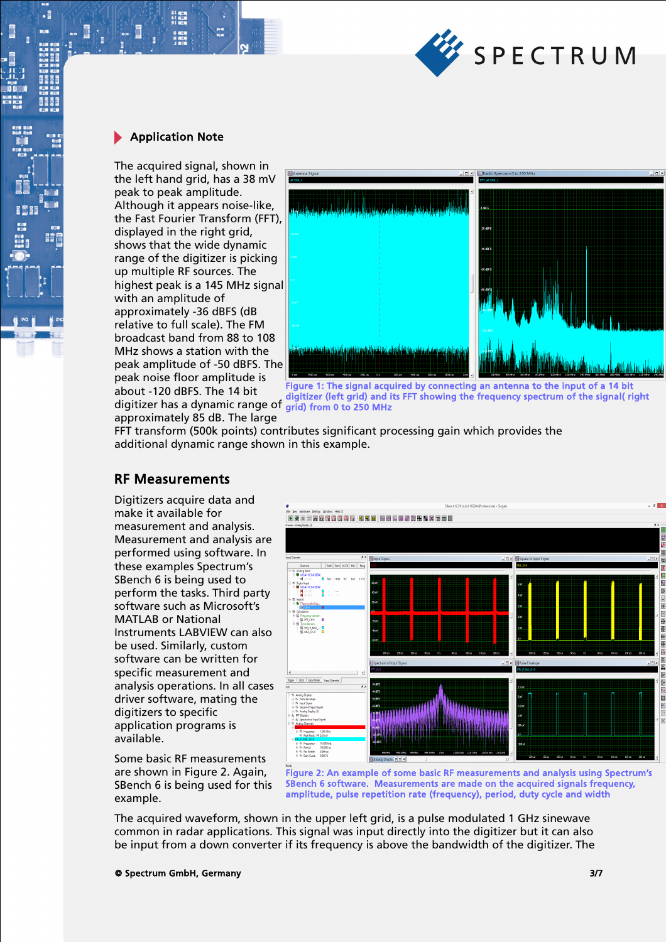

 $\cdot$ E

The acquired signal, shown in the left hand grid, has a 38 mV peak to peak amplitude. Although it appears noise-like, the Fast Fourier Transform (FFT), displayed in the right grid. shows that the wide dynamic range of the digitizer is picking up multiple RF sources. The highest peak is a 145 MHz signal with an amplitude of approximately -36 dBFS (dB relative to full scale). The FM broadcast band from 88 to 108 MHz shows a station with the peak amplitude of -50 dBFS. The peak noise floor amplitude is about -120 dBFS. The 14 bit digitizer has a dynamic range of grid) from 0 to 250 MHz approximately 85 dB. The large



digitizer (left grid) and its FFT showing the frequency spectrum of the signal( right

FFT transform (500k points) contributes significant processing gain which provides the additional dynamic range shown in this example.

# RF Measurements

Digitizers acquire data and make it available for measurement and analysis. Measurement and analysis are performed using software. In these examples Spectrum's SBench 6 is being used to perform the tasks. Third party software such as Microsoft's MATLAB or National Instruments LABVIEW can also be used. Similarly, custom software can be written for specific measurement and analysis operations. In all cases driver software, mating the digitizers to specific application programs is available.

Some basic RF measurements are shown in Figure 2. Again, SBench 6 is being used for this example.



Figure 2: An example of some basic RF measurements and analysis using Spectrum's SBench 6 software. Measurements are made on the acquired signals frequency, amplitude, pulse repetition rate (frequency), period, duty cycle and width

The acquired waveform, shown in the upper left grid, is a pulse modulated 1 GHz sinewave common in radar applications. This signal was input directly into the digitizer but it can also be input from a down converter if its frequency is above the bandwidth of the digitizer. The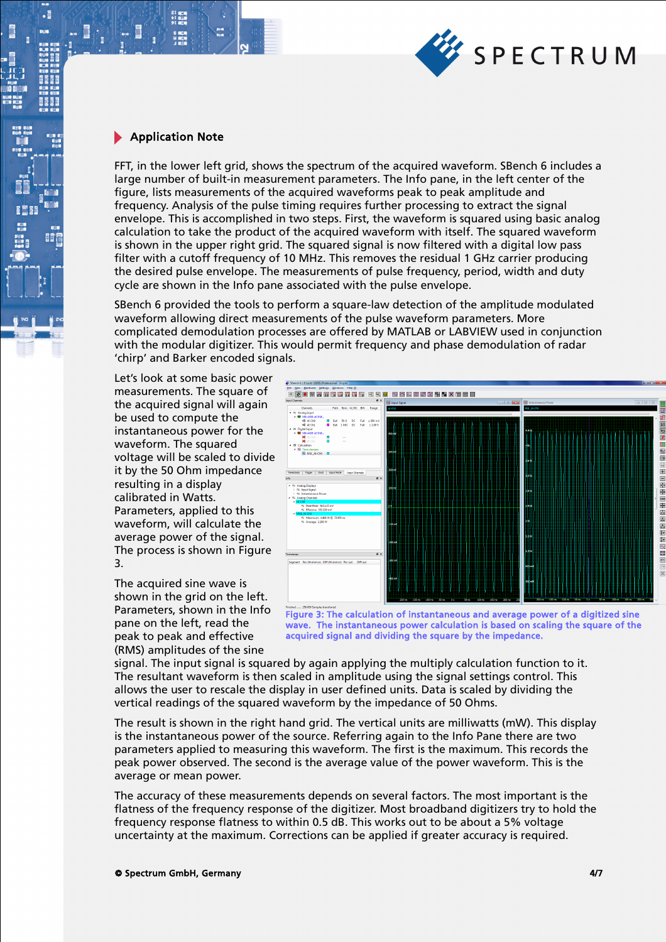

 $\cdot$ 

8881

間

FFT, in the lower left grid, shows the spectrum of the acquired waveform. SBench 6 includes a large number of built-in measurement parameters. The Info pane, in the left center of the figure, lists measurements of the acquired waveforms peak to peak amplitude and frequency. Analysis of the pulse timing requires further processing to extract the signal envelope. This is accomplished in two steps. First, the waveform is squared using basic analog calculation to take the product of the acquired waveform with itself. The squared waveform is shown in the upper right grid. The squared signal is now filtered with a digital low pass filter with a cutoff frequency of 10 MHz. This removes the residual 1 GHz carrier producing the desired pulse envelope. The measurements of pulse frequency, period, width and duty cycle are shown in the Info pane associated with the pulse envelope.

SBench 6 provided the tools to perform a square-law detection of the amplitude modulated waveform allowing direct measurements of the pulse waveform parameters. More complicated demodulation processes are offered by MATLAB or LABVIEW used in conjunction with the modular digitizer. This would permit frequency and phase demodulation of radar 'chirp' and Barker encoded signals.

Let's look at some basic power measurements. The square of the acquired signal will again be used to compute the instantaneous power for the waveform. The squared voltage will be scaled to divide it by the 50 Ohm impedance resulting in a display calibrated in Watts. Parameters, applied to this waveform, will calculate the average power of the signal. The process is shown in Figure 3.

The acquired sine wave is shown in the grid on the left. Parameters, shown in the Info pane on the left, read the peak to peak and effective (RMS) amplitudes of the sine



Figure 3: The calculation of instantaneous and average power of a digitized sine wave. The instantaneous power calculation is based on scaling the square of the acquired signal and dividing the square by the impedance.

signal. The input signal is squared by again applying the multiply calculation function to it. The resultant waveform is then scaled in amplitude using the signal settings control. This allows the user to rescale the display in user defined units. Data is scaled by dividing the vertical readings of the squared waveform by the impedance of 50 Ohms.

The result is shown in the right hand grid. The vertical units are milliwatts (mW). This display is the instantaneous power of the source. Referring again to the Info Pane there are two parameters applied to measuring this waveform. The first is the maximum. This records the peak power observed. The second is the average value of the power waveform. This is the average or mean power.

The accuracy of these measurements depends on several factors. The most important is the flatness of the frequency response of the digitizer. Most broadband digitizers try to hold the frequency response flatness to within 0.5 dB. This works out to be about a 5% voltage uncertainty at the maximum. Corrections can be applied if greater accuracy is required.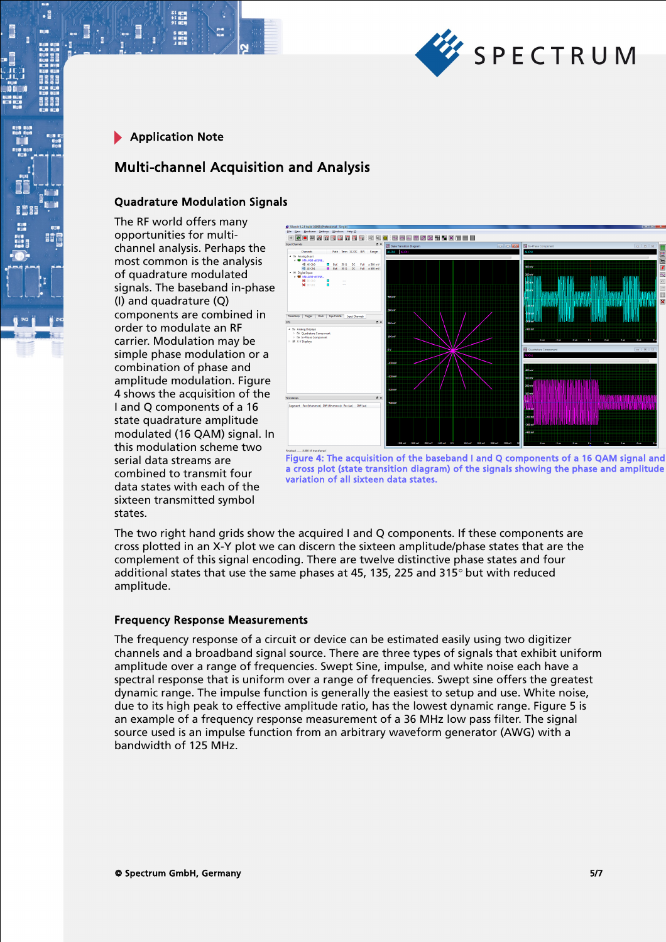

 $\cdot$ E

# Multi-channel Acquisition and Analysis

## Quadrature Modulation Signals

The RF world offers many opportunities for multichannel analysis. Perhaps the most common is the analysis of quadrature modulated signals. The baseband in-phase (I) and quadrature (Q) components are combined in order to modulate an RF carrier. Modulation may be simple phase modulation or a combination of phase and amplitude modulation. Figure 4 shows the acquisition of the I and Q components of a 16 state quadrature amplitude modulated (16 QAM) signal. In this modulation scheme two serial data streams are combined to transmit four data states with each of the sixteen transmitted symbol states.



Figure 4: The acquisition of the baseband I and Q components of a 16 QAM signal and a cross plot (state transition diagram) of the signals showing the phase and amplitude variation of all sixteen data states.

The two right hand grids show the acquired I and Q components. If these components are cross plotted in an X-Y plot we can discern the sixteen amplitude/phase states that are the complement of this signal encoding. There are twelve distinctive phase states and four additional states that use the same phases at 45, 135, 225 and 315 $^{\circ}$  but with reduced amplitude.

#### Frequency Response Measurements

The frequency response of a circuit or device can be estimated easily using two digitizer channels and a broadband signal source. There are three types of signals that exhibit uniform amplitude over a range of frequencies. Swept Sine, impulse, and white noise each have a spectral response that is uniform over a range of frequencies. Swept sine offers the greatest dynamic range. The impulse function is generally the easiest to setup and use. White noise, due to its high peak to effective amplitude ratio, has the lowest dynamic range. Figure 5 is an example of a frequency response measurement of a 36 MHz low pass filter. The signal source used is an impulse function from an arbitrary waveform generator (AWG) with a bandwidth of 125 MHz.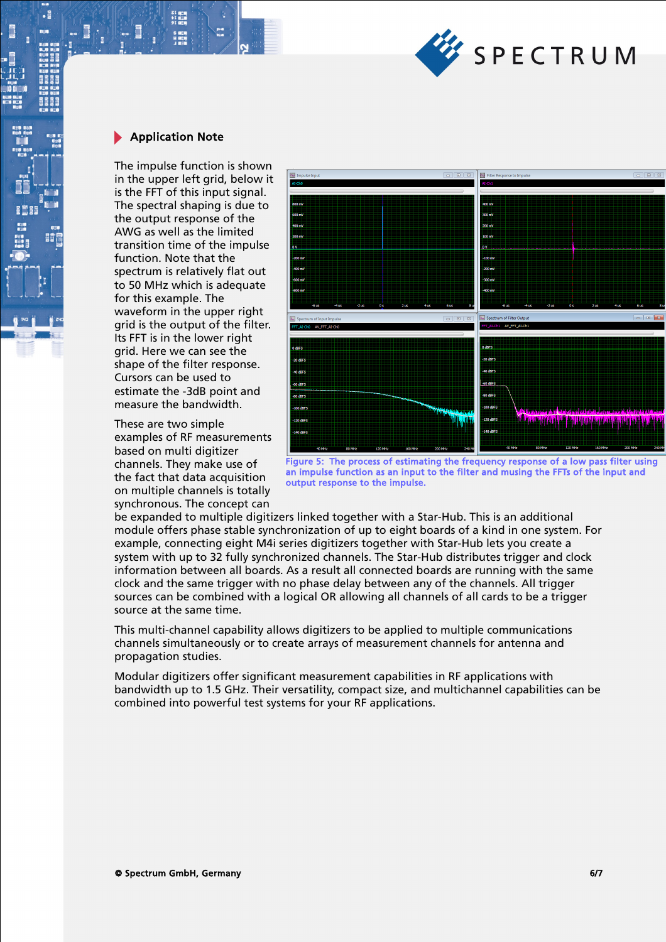

.

The impulse function is shown in the upper left grid, below it is the FFT of this input signal. The spectral shaping is due to the output response of the AWG as well as the limited transition time of the impulse function. Note that the spectrum is relatively flat out to 50 MHz which is adequate for this example. The waveform in the upper right grid is the output of the filter. Its FFT is in the lower right grid. Here we can see the shape of the filter response. Cursors can be used to estimate the -3dB point and measure the bandwidth.

These are two simple examples of RF measurements based on multi digitizer channels. They make use of the fact that data acquisition on multiple channels is totally synchronous. The concept can



Figure 5: The process of estimating the frequency response of a low pass filter using an impulse function as an input to the filter and musing the FFTs of the input and output response to the impulse.

be expanded to multiple digitizers linked together with a Star-Hub. This is an additional module offers phase stable synchronization of up to eight boards of a kind in one system. For example, connecting eight M4i series digitizers together with Star-Hub lets you create a system with up to 32 fully synchronized channels. The Star-Hub distributes trigger and clock information between all boards. As a result all connected boards are running with the same clock and the same trigger with no phase delay between any of the channels. All trigger sources can be combined with a logical OR allowing all channels of all cards to be a trigger source at the same time.

This multi-channel capability allows digitizers to be applied to multiple communications channels simultaneously or to create arrays of measurement channels for antenna and propagation studies.

Modular digitizers offer significant measurement capabilities in RF applications with bandwidth up to 1.5 GHz. Their versatility, compact size, and multichannel capabilities can be combined into powerful test systems for your RF applications.